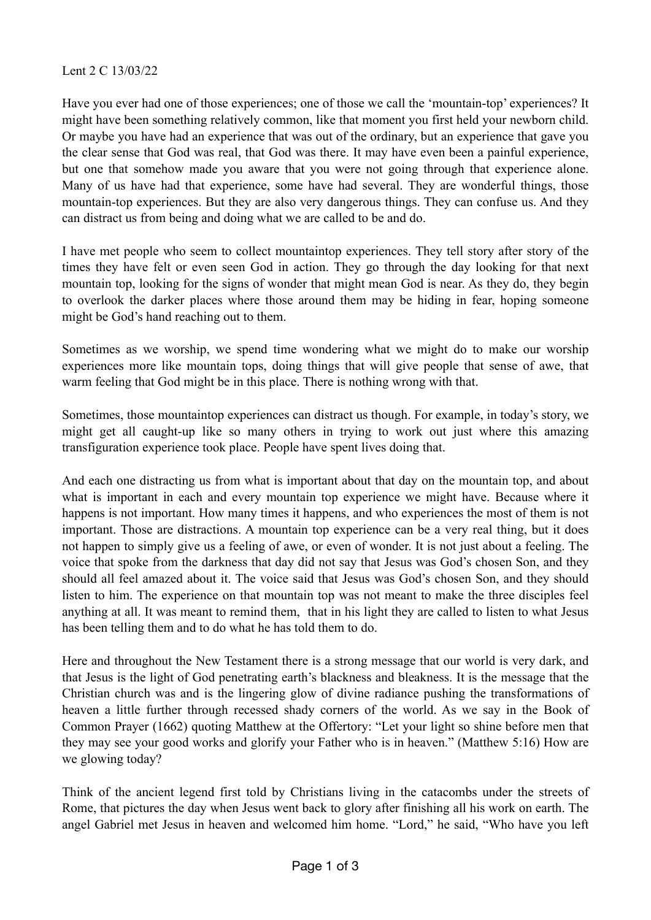## Lent 2 C 13/03/22

Have you ever had one of those experiences; one of those we call the 'mountain-top' experiences? It might have been something relatively common, like that moment you first held your newborn child. Or maybe you have had an experience that was out of the ordinary, but an experience that gave you the clear sense that God was real, that God was there. It may have even been a painful experience, but one that somehow made you aware that you were not going through that experience alone. Many of us have had that experience, some have had several. They are wonderful things, those mountain-top experiences. But they are also very dangerous things. They can confuse us. And they can distract us from being and doing what we are called to be and do.

I have met people who seem to collect mountaintop experiences. They tell story after story of the times they have felt or even seen God in action. They go through the day looking for that next mountain top, looking for the signs of wonder that might mean God is near. As they do, they begin to overlook the darker places where those around them may be hiding in fear, hoping someone might be God's hand reaching out to them.

Sometimes as we worship, we spend time wondering what we might do to make our worship experiences more like mountain tops, doing things that will give people that sense of awe, that warm feeling that God might be in this place. There is nothing wrong with that.

Sometimes, those mountaintop experiences can distract us though. For example, in today's story, we might get all caught-up like so many others in trying to work out just where this amazing transfiguration experience took place. People have spent lives doing that.

And each one distracting us from what is important about that day on the mountain top, and about what is important in each and every mountain top experience we might have. Because where it happens is not important. How many times it happens, and who experiences the most of them is not important. Those are distractions. A mountain top experience can be a very real thing, but it does not happen to simply give us a feeling of awe, or even of wonder. It is not just about a feeling. The voice that spoke from the darkness that day did not say that Jesus was God's chosen Son, and they should all feel amazed about it. The voice said that Jesus was God's chosen Son, and they should listen to him. The experience on that mountain top was not meant to make the three disciples feel anything at all. It was meant to remind them, that in his light they are called to listen to what Jesus has been telling them and to do what he has told them to do.

Here and throughout the New Testament there is a strong message that our world is very dark, and that Jesus is the light of God penetrating earth's blackness and bleakness. It is the message that the Christian church was and is the lingering glow of divine radiance pushing the transformations of heaven a little further through recessed shady corners of the world. As we say in the Book of Common Prayer (1662) quoting Matthew at the Offertory: "Let your light so shine before men that they may see your good works and glorify your Father who is in heaven." (Matthew 5:16) How are we glowing today?

Think of the ancient legend first told by Christians living in the catacombs under the streets of Rome, that pictures the day when Jesus went back to glory after finishing all his work on earth. The angel Gabriel met Jesus in heaven and welcomed him home. "Lord," he said, "Who have you left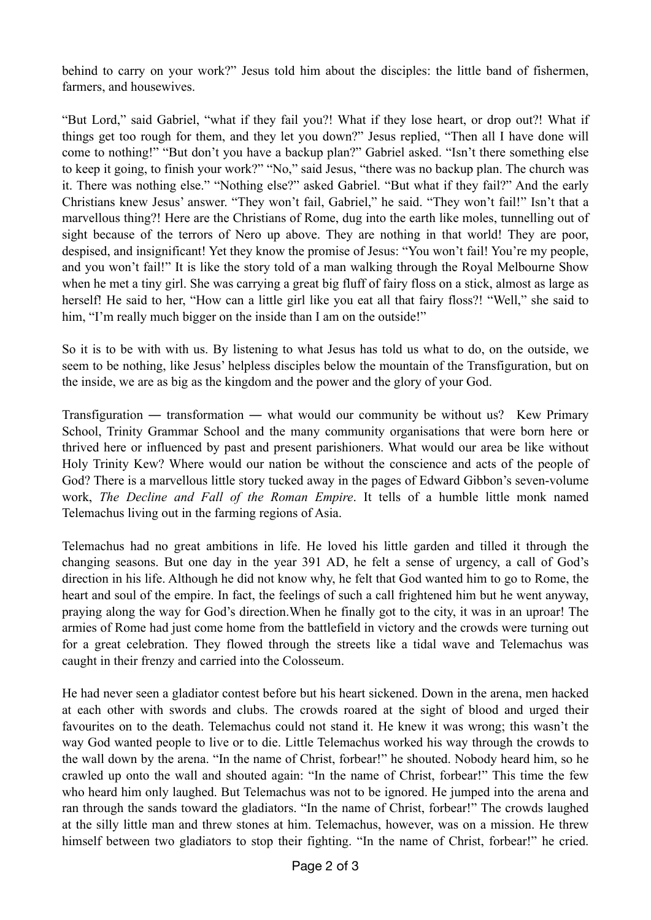behind to carry on your work?" Jesus told him about the disciples: the little band of fishermen, farmers, and housewives.

"But Lord," said Gabriel, "what if they fail you?! What if they lose heart, or drop out?! What if things get too rough for them, and they let you down?" Jesus replied, "Then all I have done will come to nothing!" "But don't you have a backup plan?" Gabriel asked. "Isn't there something else to keep it going, to finish your work?" "No," said Jesus, "there was no backup plan. The church was it. There was nothing else." "Nothing else?" asked Gabriel. "But what if they fail?" And the early Christians knew Jesus' answer. "They won't fail, Gabriel," he said. "They won't fail!" Isn't that a marvellous thing?! Here are the Christians of Rome, dug into the earth like moles, tunnelling out of sight because of the terrors of Nero up above. They are nothing in that world! They are poor, despised, and insignificant! Yet they know the promise of Jesus: "You won't fail! You're my people, and you won't fail!" It is like the story told of a man walking through the Royal Melbourne Show when he met a tiny girl. She was carrying a great big fluff of fairy floss on a stick, almost as large as herself! He said to her, "How can a little girl like you eat all that fairy floss?! "Well," she said to him, "I'm really much bigger on the inside than I am on the outside!"

So it is to be with with us. By listening to what Jesus has told us what to do, on the outside, we seem to be nothing, like Jesus' helpless disciples below the mountain of the Transfiguration, but on the inside, we are as big as the kingdom and the power and the glory of your God.

Transfiguration — transformation — what would our community be without us? Kew Primary School, Trinity Grammar School and the many community organisations that were born here or thrived here or influenced by past and present parishioners. What would our area be like without Holy Trinity Kew? Where would our nation be without the conscience and acts of the people of God? There is a marvellous little story tucked away in the pages of Edward Gibbon's seven-volume work, *The Decline and Fall of the Roman Empire*. It tells of a humble little monk named Telemachus living out in the farming regions of Asia.

Telemachus had no great ambitions in life. He loved his little garden and tilled it through the changing seasons. But one day in the year 391 AD, he felt a sense of urgency, a call of God's direction in his life. Although he did not know why, he felt that God wanted him to go to Rome, the heart and soul of the empire. In fact, the feelings of such a call frightened him but he went anyway, praying along the way for God's direction.When he finally got to the city, it was in an uproar! The armies of Rome had just come home from the battlefield in victory and the crowds were turning out for a great celebration. They flowed through the streets like a tidal wave and Telemachus was caught in their frenzy and carried into the Colosseum.

He had never seen a gladiator contest before but his heart sickened. Down in the arena, men hacked at each other with swords and clubs. The crowds roared at the sight of blood and urged their favourites on to the death. Telemachus could not stand it. He knew it was wrong; this wasn't the way God wanted people to live or to die. Little Telemachus worked his way through the crowds to the wall down by the arena. "In the name of Christ, forbear!" he shouted. Nobody heard him, so he crawled up onto the wall and shouted again: "In the name of Christ, forbear!" This time the few who heard him only laughed. But Telemachus was not to be ignored. He jumped into the arena and ran through the sands toward the gladiators. "In the name of Christ, forbear!" The crowds laughed at the silly little man and threw stones at him. Telemachus, however, was on a mission. He threw himself between two gladiators to stop their fighting. "In the name of Christ, forbear!" he cried.